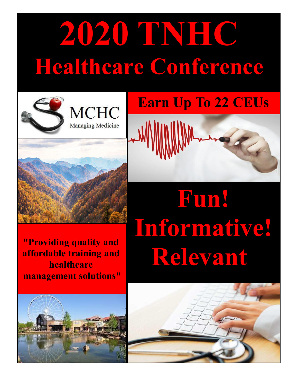# **2020 TNHC Healthcare Conference**









**"Providing quality and affordable training and healthcare management solutions"** 



# **Fun! Informative! Relevant!**

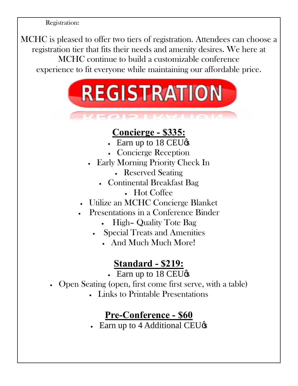Registration:

MCHC is pleased to offer two tiers of registration. Attendees can choose a registration tier that fits their needs and amenity desires. We here at MCHC continue to build a customizable conference experience to fit everyone while maintaining our affordable price.



## **Concierge - \$335:**

- Earn up to 18 CEU $\circ$
- · Concierge Reception
- · Early Morning Priority Check In
	- · Reserved Seating
	- · Continental Breakfast Bag
		- · Hot Coffee
- Utilize an MCHC Concierge Blanket
- · Presentations in a Conference Binder
	- High- Quality Tote Bag
	- · Special Treats and Amenities
		- · And Much Much More!

### **Standard - \$219:**

- Earn up to  $18 \text{ CEU}\⊂>o$
- · Open Seating (open, first come first serve, with a table)
	- · Links to Printable Presentations

## **Pre-Conference - \$60**

• Earn up to 4 Additional CEU $\circ$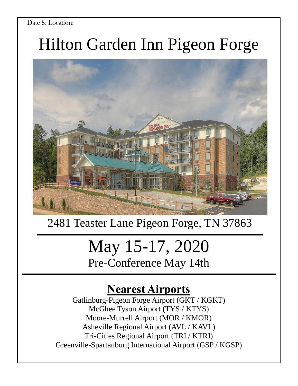#### Date & Location:

## Hilton Garden Inn Pigeon Forge



## 2481 Teaster Lane Pigeon Forge, TN 37863

## May 15-17, 2020 Pre-Conference May 14th

## **Nearest Airports**

Gatlinburg-Pigeon Forge Airport (GKT / KGKT) McGhee Tyson Airport (TYS / KTYS) Moore-Murrell Airport (MOR / KMOR) Asheville Regional Airport (AVL / KAVL) Tri-Cities Regional Airport (TRI / KTRI) Greenville-Spartanburg International Airport (GSP / KGSP)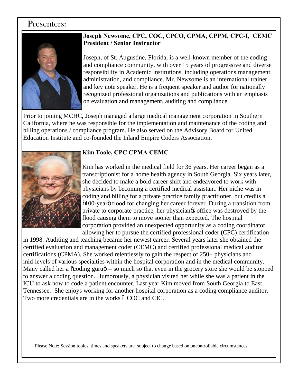#### Presenters:



#### **Joseph Newsome, CPC, COC, CPCO, CPMA, CPPM, CPC-I, CEMC President / Senior Instructor**

Joseph, of St. Augustine, Florida, is a well-known member of the coding and compliance community, with over 15 years of progressive and diverse responsibility in Academic Institutions, including operations management, administration, and compliance. Mr. Newsome is an international trainer and key note speaker. He is a frequent speaker and author for nationally recognized professional organizations and publications with an emphasis on evaluation and management, auditing and compliance.

Prior to joining MCHC, Joseph managed a large medical management corporation in Southern California, where he was responsible for the implementation and maintenance of the coding and billing operations / compliance program. He also served on the Advisory Board for United Education Institute and co-founded the Inland Empire Coders Association.



#### **Kim Toole, CPC CPMA CEMC**

Kim has worked in the medical field for 36 years. Her career began as a transcriptionist for a home health agency in South Georgia. Six years later, she decided to make a bold career shift and endeavored to work with physicians by becoming a certified medical assistant. Her niche was in coding and billing for a private practice family practitioner, but credits a  $\delta$ 100-yearö flood for changing her career forever. During a transition from private to corporate practice, her physiciangs office was destroyed by the flood causing them to move sooner than expected. The hospital corporation provided an unexpected opportunity as a coding coordinator allowing her to pursue the certified professional coder (CPC) certification

in 1998. Auditing and teaching became her newest career. Several years later she obtained the certified evaluation and management coder (CEMC) and certified professional medical auditor certifications (CPMA). She worked relentlessly to gain the respect of 250+ physicians and mid-levels of various specialties within the hospital corporation and in the medical community. Many called her a  $\alpha$  oding guru $\ddot{\circ}$  -- so much so that even in the grocery store she would be stopped to answer a coding question. Humorously, a physician visited her while she was a patient in the ICU to ask how to code a patient encounter. Last year Kim moved from South Georgia to East Tennessee. She enjoys working for another hospital corporation as a coding compliance auditor. Two more credentials are in the works 6 COC and CIC.

Please Note: Session topics, times and speakers are subject to change based on uncontrollable circumstances.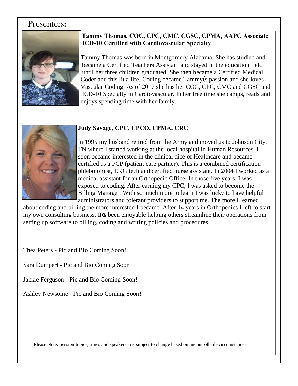#### Presenters:



#### **Tammy Thomas, COC, CPC, CMC, CGSC, CPMA, AAPC Associate ICD-10 Certified with Cardiovascular Specialty**

 Tammy Thomas was born in Montgomery Alabama. She has studied and became a Certified Teachers Assistant and stayed in the education field until her three children graduated. She then became a Certified Medical Coder and this lit a fire. Coding became Tammy to passion and she loves Vascular Coding. As of 2017 she has her COC, CPC, CMC and CGSC and ICD-10 Specialty in Cardiovascular. In her free time she camps, reads and enjoys spending time with her family.



#### **Judy Savage, CPC, CPCO, CPMA, CRC**

In 1995 my husband retired from the Army and moved us to Johnson City, TN where I started working at the local hospital in Human Resources. I soon became interested in the clinical dice of Healthcare and became certified as a PCP (patient care partner). This is a combined certification phlebotomist, EKG tech and certified nurse assistant. In 2004 I worked as a medical assistant for an Orthopedic Office. In those five years, I was exposed to coding. After earning my CPC, I was asked to become the Billing Manager. With so much more to learn I was lucky to have helpful administrators and tolerant providers to support me. The more I learned

about coding and billing the more interested I became. After 14 years in Orthopedics I left to start my own consulting business. It ts been enjoyable helping others streamline their operations from setting up software to billing, coding and writing policies and procedures.

Thea Peters - Pic and Bio Coming Soon!

Sara Dumpert - Pic and Bio Coming Soon!

Jackie Ferguson - Pic and Bio Coming Soon!

Ashley Newsome - Pic and Bio Coming Soon!

Please Note: Session topics, times and speakers are subject to change based on uncontrollable circumstances.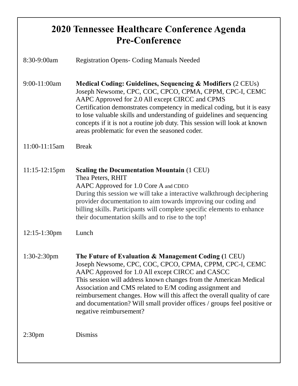## **2020 Tennessee Healthcare Conference Agenda Pre-Conference**

| 8:30-9:00am        | <b>Registration Opens- Coding Manuals Needed</b>                                                                                                                                                                                                                                                                                                                                                                                                                                       |
|--------------------|----------------------------------------------------------------------------------------------------------------------------------------------------------------------------------------------------------------------------------------------------------------------------------------------------------------------------------------------------------------------------------------------------------------------------------------------------------------------------------------|
| 9:00-11:00am       | <b>Medical Coding: Guidelines, Sequencing &amp; Modifiers (2 CEUs)</b><br>Joseph Newsome, CPC, COC, CPCO, CPMA, CPPM, CPC-I, CEMC<br>AAPC Approved for 2.0 All except CIRCC and CPMS<br>Certification demonstrates competency in medical coding, but it is easy<br>to lose valuable skills and understanding of guidelines and sequencing<br>concepts if it is not a routine job duty. This session will look at known<br>areas problematic for even the seasoned coder.               |
| 11:00-11:15am      | <b>Break</b>                                                                                                                                                                                                                                                                                                                                                                                                                                                                           |
| $11:15-12:15$ pm   | <b>Scaling the Documentation Mountain (1 CEU)</b><br>Thea Peters, RHIT<br>AAPC Approved for 1.0 Core A and CDEO<br>During this session we will take a interactive walkthrough deciphering<br>provider documentation to aim towards improving our coding and<br>billing skills. Participants will complete specific elements to enhance<br>their documentation skills and to rise to the top!                                                                                           |
| 12:15-1:30pm       | Lunch                                                                                                                                                                                                                                                                                                                                                                                                                                                                                  |
| $1:30-2:30$ pm     | The Future of Evaluation & Management Coding (1 CEU)<br>Joseph Newsome, CPC, COC, CPCO, CPMA, CPPM, CPC-I, CEMC<br>AAPC Approved for 1.0 All except CIRCC and CASCC<br>This session will address known changes from the American Medical<br>Association and CMS related to E/M coding assignment and<br>reimbursement changes. How will this affect the overall quality of care<br>and documentation? Will small provider offices / groups feel positive or<br>negative reimbursement? |
| 2:30 <sub>pm</sub> | <b>Dismiss</b>                                                                                                                                                                                                                                                                                                                                                                                                                                                                         |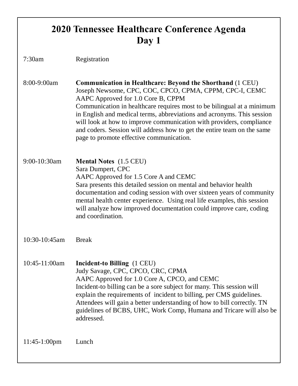## **2020 Tennessee Healthcare Conference Agenda Day 1**

7:30am Registration

8:00-9:00am **Communication in Healthcare: Beyond the Shorthand** (1 CEU) Joseph Newsome, CPC, COC, CPCO, CPMA, CPPM, CPC-I, CEMC AAPC Approved for 1.0 Core B, CPPM Communication in healthcare requires most to be bilingual at a minimum in English and medical terms, abbreviations and acronyms. This session will look at how to improve communication with providers, compliance and coders. Session will address how to get the entire team on the same page to promote effective communication.

9:00-10:30am **Mental Notes** (1.5 CEU) Sara Dumpert, CPC AAPC Approved for 1.5 Core A and CEMC Sara presents this detailed session on mental and behavior health documentation and coding session with over sixteen years of community mental health center experience. Using real life examples, this session will analyze how improved documentation could improve care, coding and coordination.

10:30-10:45am Break

10:45-11:00am **Incident-to Billing** (1 CEU) Judy Savage, CPC, CPCO, CRC, CPMA AAPC Approved for 1.0 Core A, CPCO, and CEMC Incident-to billing can be a sore subject for many. This session will explain the requirements of incident to billing, per CMS guidelines. Attendees will gain a better understanding of how to bill correctly. TN guidelines of BCBS, UHC, Work Comp, Humana and Tricare will also be addressed.

11:45-1:00pm Lunch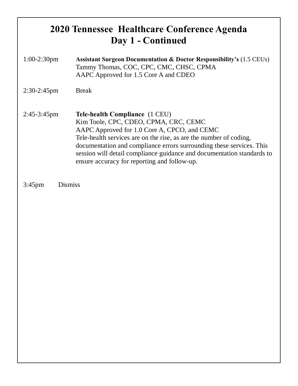## **2020 Tennessee Healthcare Conference Agenda Day 1 - Continued**

| $1:00-2:30$ pm | <b>Assistant Surgeon Documentation &amp; Doctor Responsibility's (1.5 CEUs)</b><br>Tammy Thomas, COC, CPC, CMC, CHSC, CPMA<br>AAPC Approved for 1.5 Core A and CDEO                                                                                                                                                                                                                             |
|----------------|-------------------------------------------------------------------------------------------------------------------------------------------------------------------------------------------------------------------------------------------------------------------------------------------------------------------------------------------------------------------------------------------------|
| $2:30-2:45$ pm | <b>Break</b>                                                                                                                                                                                                                                                                                                                                                                                    |
| $2:45-3:45$ pm | Tele-health Compliance (1 CEU)<br>Kim Toole, CPC, CDEO, CPMA, CRC, CEMC<br>AAPC Approved for 1.0 Core A, CPCO, and CEMC<br>Tele-health services are on the rise, as are the number of coding,<br>documentation and compliance errors surrounding these services. This<br>session will detail compliance guidance and documentation standards to<br>ensure accuracy for reporting and follow-up. |

3:45pm Dismiss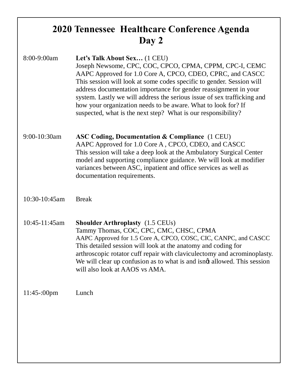## **2020 Tennessee Healthcare Conference Agenda Day 2**

| 8:00-9:00am   | Let's Talk About Sex (1 CEU)<br>Joseph Newsome, CPC, COC, CPCO, CPMA, CPPM, CPC-I, CEMC<br>AAPC Approved for 1.0 Core A, CPCO, CDEO, CPRC, and CASCC<br>This session will look at some codes specific to gender. Session will<br>address documentation importance for gender reassignment in your<br>system. Lastly we will address the serious issue of sex trafficking and<br>how your organization needs to be aware. What to look for? If<br>suspected, what is the next step? What is our responsibility? |
|---------------|----------------------------------------------------------------------------------------------------------------------------------------------------------------------------------------------------------------------------------------------------------------------------------------------------------------------------------------------------------------------------------------------------------------------------------------------------------------------------------------------------------------|
| 9:00-10:30am  | <b>ASC Coding, Documentation &amp; Compliance</b> (1 CEU)<br>AAPC Approved for 1.0 Core A, CPCO, CDEO, and CASCC<br>This session will take a deep look at the Ambulatory Surgical Center<br>model and supporting compliance guidance. We will look at modifier<br>variances between ASC, inpatient and office services as well as<br>documentation requirements.                                                                                                                                               |
| 10:30-10:45am | <b>Break</b>                                                                                                                                                                                                                                                                                                                                                                                                                                                                                                   |
| 10:45-11:45am | <b>Shoulder Arthroplasty</b> (1.5 CEUs)<br>Tammy Thomas, COC, CPC, CMC, CHSC, CPMA<br>AAPC Approved for 1.5 Core A, CPCO, COSC, CIC, CANPC, and CASCC<br>This detailed session will look at the anatomy and coding for<br>arthroscopic rotator cuff repair with claviculectomy and acrominoplasty.<br>We will clear up confusion as to what is and isngt allowed. This session<br>will also look at AAOS vs AMA.                                                                                               |
| $11:45-00$ pm | Lunch                                                                                                                                                                                                                                                                                                                                                                                                                                                                                                          |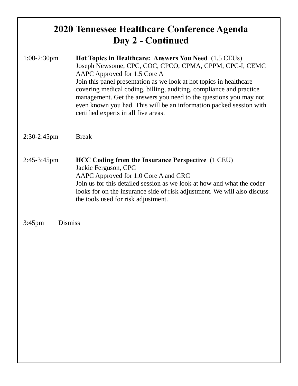### **2020 Tennessee Healthcare Conference Agenda Day 2 - Continued**

- 1:00-2:30pm **Hot Topics in Healthcare: Answers You Need** (1.5 CEUs) Joseph Newsome, CPC, COC, CPCO, CPMA, CPPM, CPC-I, CEMC AAPC Approved for 1.5 Core A Join this panel presentation as we look at hot topics in healthcare covering medical coding, billing, auditing, compliance and practice management. Get the answers you need to the questions you may not even known you had. This will be an information packed session with certified experts in all five areas.
- 2:30-2:45pm Break
- 2:45-3:45pm **HCC Coding from the Insurance Perspective** (1 CEU) Jackie Ferguson, CPC AAPC Approved for 1.0 Core A and CRC Join us for this detailed session as we look at how and what the coder looks for on the insurance side of risk adjustment. We will also discuss the tools used for risk adjustment.

3:45pm Dismiss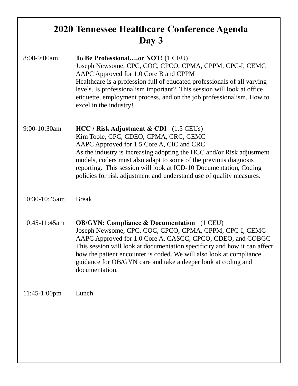## **2020 Tennessee Healthcare Conference Agenda Day 3**

| 8:00-9:00am   | To Be Professionalor NOT! (1 CEU)<br>Joseph Newsome, CPC, COC, CPCO, CPMA, CPPM, CPC-I, CEMC<br>AAPC Approved for 1.0 Core B and CPPM<br>Healthcare is a profession full of educated professionals of all varying<br>levels. Is professionalism important? This session will look at office<br>etiquette, employment process, and on the job professionalism. How to<br>excel in the industry!                           |
|---------------|--------------------------------------------------------------------------------------------------------------------------------------------------------------------------------------------------------------------------------------------------------------------------------------------------------------------------------------------------------------------------------------------------------------------------|
| 9:00-10:30am  | $HCC / Risk$ Adjustment & CDI (1.5 CEUs)<br>Kim Toole, CPC, CDEO, CPMA, CRC, CEMC<br>AAPC Approved for 1.5 Core A, CIC and CRC<br>As the industry is increasing adopting the HCC and/or Risk adjustment<br>models, coders must also adapt to some of the previous diagnosis<br>reporting. This session will look at ICD-10 Documentation, Coding<br>policies for risk adjustment and understand use of quality measures. |
| 10:30-10:45am | <b>Break</b>                                                                                                                                                                                                                                                                                                                                                                                                             |
| 10:45-11:45am | <b>OB/GYN: Compliance &amp; Documentation</b> (1 CEU)<br>Joseph Newsome, CPC, COC, CPCO, CPMA, CPPM, CPC-I, CEMC<br>AAPC Approved for 1.0 Core A, CASCC, CPCO, CDEO, and COBGC<br>This session will look at documentation specificity and how it can affect<br>how the patient encounter is coded. We will also look at compliance<br>guidance for OB/GYN care and take a deeper look at coding and<br>documentation.    |
| 11:45-1:00pm  | Lunch                                                                                                                                                                                                                                                                                                                                                                                                                    |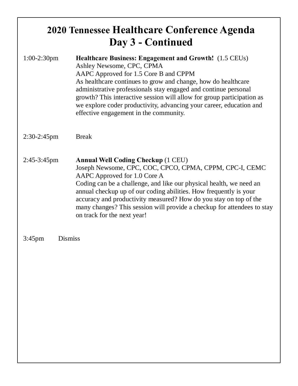## **2020 Tennessee Healthcare Conference Agenda Day 3 - Continued**

- 1:00-2:30pm **Healthcare Business: Engagement and Growth!** (1.5 CEUs) Ashley Newsome, CPC, CPMA AAPC Approved for 1.5 Core B and CPPM As healthcare continues to grow and change, how do healthcare administrative professionals stay engaged and continue personal growth? This interactive session will allow for group participation as we explore coder productivity, advancing your career, education and effective engagement in the community.
- 2:30-2:45pm Break
- 2:45-3:45pm **Annual Well Coding Checkup** (1 CEU) Joseph Newsome, CPC, COC, CPCO, CPMA, CPPM, CPC-I, CEMC AAPC Approved for 1.0 Core A Coding can be a challenge, and like our physical health, we need an annual checkup up of our coding abilities. How frequently is your accuracy and productivity measured? How do you stay on top of the many changes? This session will provide a checkup for attendees to stay on track for the next year!
- 3:45pm Dismiss